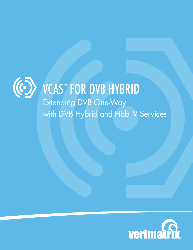

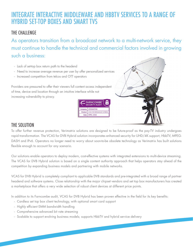# INTEGRATE INTERACTIVE MIDDLEWARE AND HBBTV SERVICES TO A RANGE OF HYBRID SET-TOP BOXES AND SMART TVS

## THE CHALLENGE

As operators transition from a broadcast network to a multi-network service, they must continue to handle the technical and commercial factors involved in growing such a business:

- Lack of set-top box return path to the headend
- Need to increase average revenue per user by offer personalized services
- Increased competition from telcos and OTT operators

Providers are pressured to offer their viewers full content access independent of time, device and location through an intuitive interface while not increasing vulnerability to piracy.





### THE SOLUTION

To offer further revenue protection, Verimatrix solutions are designed to be future-proof as the pay-TV industry undergoes rapid transformation. The VCAS for DVB Hybrid solution incorporates enhanced security for UHD/4K support, HbbTV, MPEG-DASH and IPv6. Operators no longer need to worry about soon-to-be obsolete technology as Verimatrix has built solutions flexible enough to account for any scenario.

Our solutions enable operators to deploy modern, cost-effective systems with integrated extensions to multi-device streaming. The VCAS for DVB Hybrid solution is based on a single content authority approach that helps operators stay ahead of the competition by expanding business models and partnering with mobile networks.

VCAS for DVB Hybrid is completely compliant to applicable DVB standards and pre-integrated with a broad range of partner headend and software systems. Close relationship with the major chipset vendors and set top box manufacturers has created a marketplace that offers a very wide selection of robust client devices at different price points.

In addition to its Farncombe audit, VCAS for DVB Hybrid has been proven effective in the field for its key benefits:

- Cardless set top box client technology, with optional smart card support
- Highly efficient EMM bandwidth handling
- Comprehensive advanced bit rate streaming
- Scalable to support evolving business models; supports HbbTV and hybrid service delivery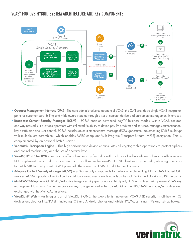# VCAS™ FOR DVB HYBRID SYSTEM ARCHITECTURE AND KEY COMPONENTS



- Operator Management Interface (OMI) The core administrative component of VCAS, the OMI provides a single VCAS integration point for customer care, billing and middleware systems through a set of content, device and entitlement management interfaces.
- Broadcast Content Security Manager (BCSM) BCSM enables advanced pay-TV business models within VCAS secured one-way networks. It provides operators with unlimited flexibility to define pay-TV products and services, manages authentication, key distribution and user control. BCSM includes an entitlement control message (ECM) generator, implementing DVB Simulcrypt with multiplexers/scramblers, which enables MPEG-compliant Multi-Program Transport Stream (MPTS) encryption. This is complemented by an optional DVB SI server.
- Verimatrix Encryption Engine This high-performance device encapsulates all cryptographic operations to protect ciphers and control mechanisms, and the set of operator keys.
- ViewRight<sup>®</sup> STB for DVB Verimatrix offers client security flexibility with a choice of software-based clients, cardless secure SOC implementations, and advanced smart cards, all within the ViewRight ONE client security umbrella, allowing operators to match STB technology with ARPU potential. There are also DVB-CI and CI+ client options.
- Adaptive Content Security Manager (ACSM) VCAS security components for networks implementing HLS or DASH based OTT services. ACSM supports authentication, key distribution and user control and acts as the root Certificate Authority in a PKI hierarchy.
- MultiCAS™/Adaptive MultiCAS/Adaptive integrates high-performance third-party AES scramblers with proven VCAS key management functions. Content encryption keys are generated either by ACSM or the HLS/DASH encoder/scrambler and exchanged via the MultiCAS interface.
- ViewRight® Web An integral part of ViewRight ONE, the web clients implement VCAS ABR security in off-the-shelf CE devices enabled for HLS/DASH, including iOS and Android phones and tablets, PC/Macs, smart TVs and set-top boxes.